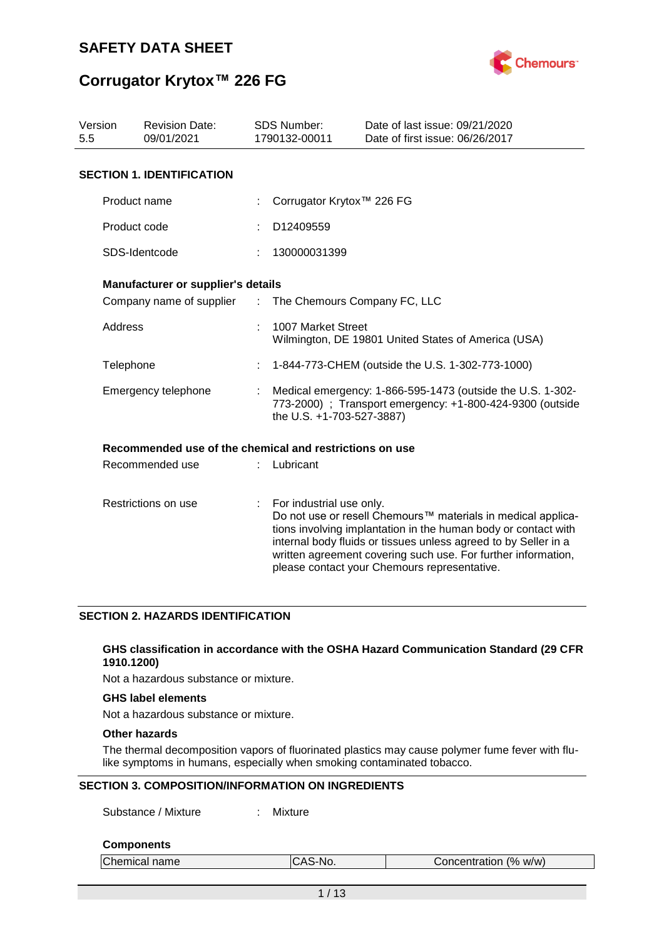

### **Corrugator Krytox™ 226 FG**

| Version<br>5.5 | <b>Revision Date:</b><br>09/01/2021                     |   | <b>SDS Number:</b><br>1790132-00011                                                                                                                  | Date of last issue: 09/21/2020<br>Date of first issue: 06/26/2017                                                                                                                                                                                                                                                  |  |  |
|----------------|---------------------------------------------------------|---|------------------------------------------------------------------------------------------------------------------------------------------------------|--------------------------------------------------------------------------------------------------------------------------------------------------------------------------------------------------------------------------------------------------------------------------------------------------------------------|--|--|
|                | <b>SECTION 1. IDENTIFICATION</b>                        |   |                                                                                                                                                      |                                                                                                                                                                                                                                                                                                                    |  |  |
|                | Product name                                            |   | Corrugator Krytox™ 226 FG                                                                                                                            |                                                                                                                                                                                                                                                                                                                    |  |  |
|                | Product code                                            |   | D12409559                                                                                                                                            |                                                                                                                                                                                                                                                                                                                    |  |  |
|                | SDS-Identcode                                           |   | 130000031399                                                                                                                                         |                                                                                                                                                                                                                                                                                                                    |  |  |
|                | Manufacturer or supplier's details                      |   |                                                                                                                                                      |                                                                                                                                                                                                                                                                                                                    |  |  |
|                | Company name of supplier :                              |   | The Chemours Company FC, LLC                                                                                                                         |                                                                                                                                                                                                                                                                                                                    |  |  |
| Address        |                                                         |   | 1007 Market Street                                                                                                                                   | Wilmington, DE 19801 United States of America (USA)                                                                                                                                                                                                                                                                |  |  |
| Telephone      |                                                         |   |                                                                                                                                                      | 1-844-773-CHEM (outside the U.S. 1-302-773-1000)                                                                                                                                                                                                                                                                   |  |  |
|                | Emergency telephone                                     |   | Medical emergency: 1-866-595-1473 (outside the U.S. 1-302-<br>773-2000) ; Transport emergency: +1-800-424-9300 (outside<br>the U.S. +1-703-527-3887) |                                                                                                                                                                                                                                                                                                                    |  |  |
|                | Recommended use of the chemical and restrictions on use |   |                                                                                                                                                      |                                                                                                                                                                                                                                                                                                                    |  |  |
|                | Recommended use                                         |   | Lubricant                                                                                                                                            |                                                                                                                                                                                                                                                                                                                    |  |  |
|                | Restrictions on use                                     | ÷ | For industrial use only.                                                                                                                             | Do not use or resell Chemours™ materials in medical applica-<br>tions involving implantation in the human body or contact with<br>internal body fluids or tissues unless agreed to by Seller in a<br>written agreement covering such use. For further information,<br>please contact your Chemours representative. |  |  |

### **SECTION 2. HAZARDS IDENTIFICATION**

### **GHS classification in accordance with the OSHA Hazard Communication Standard (29 CFR 1910.1200)**

Not a hazardous substance or mixture.

### **GHS label elements**

Not a hazardous substance or mixture.

### **Other hazards**

The thermal decomposition vapors of fluorinated plastics may cause polymer fume fever with flulike symptoms in humans, especially when smoking contaminated tobacco.

### **SECTION 3. COMPOSITION/INFORMATION ON INGREDIENTS**

Substance / Mixture : Mixture

#### **Components**

| Chemical name | ICAS-No. | Concentration (% w/w) |
|---------------|----------|-----------------------|
|               |          |                       |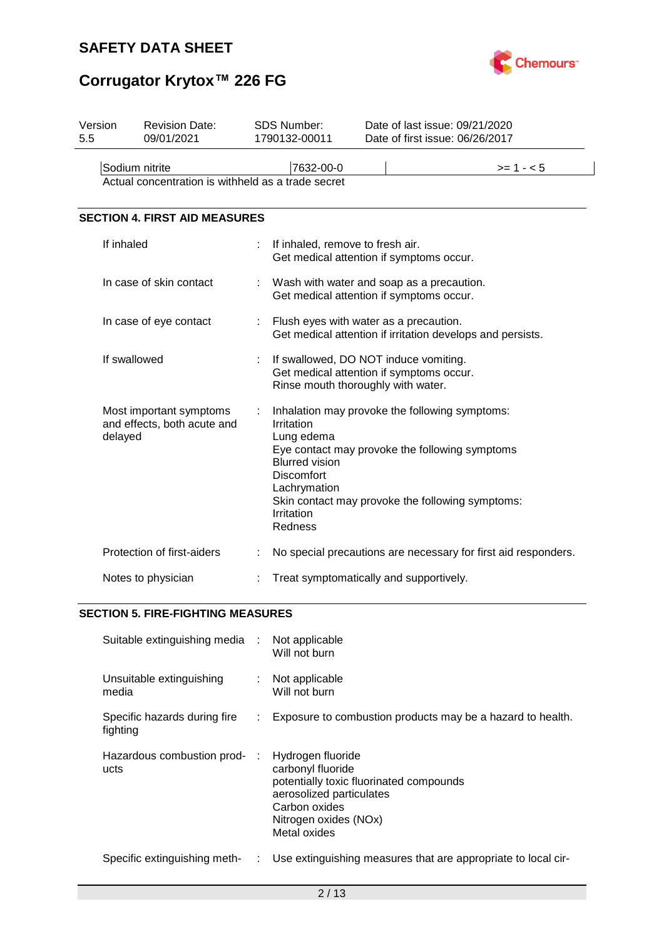



| Version<br>5.5 | <b>Revision Date:</b><br>09/01/2021                                  | <b>SDS Number:</b><br>1790132-00011                                                                                    | Date of last issue: 09/21/2020<br>Date of first issue: 06/26/2017                                                                                    |                                                                |
|----------------|----------------------------------------------------------------------|------------------------------------------------------------------------------------------------------------------------|------------------------------------------------------------------------------------------------------------------------------------------------------|----------------------------------------------------------------|
|                | Sodium nitrite<br>Actual concentration is withheld as a trade secret | 7632-00-0                                                                                                              |                                                                                                                                                      | $>= 1 - 5$                                                     |
|                | <b>SECTION 4. FIRST AID MEASURES</b>                                 |                                                                                                                        |                                                                                                                                                      |                                                                |
|                | If inhaled                                                           | If inhaled, remove to fresh air.                                                                                       | Get medical attention if symptoms occur.                                                                                                             |                                                                |
|                | In case of skin contact                                              |                                                                                                                        | Wash with water and soap as a precaution.<br>Get medical attention if symptoms occur.                                                                |                                                                |
|                | In case of eye contact                                               |                                                                                                                        | Flush eyes with water as a precaution.                                                                                                               | Get medical attention if irritation develops and persists.     |
|                | If swallowed                                                         |                                                                                                                        | If swallowed, DO NOT induce vomiting.<br>Get medical attention if symptoms occur.<br>Rinse mouth thoroughly with water.                              |                                                                |
|                | Most important symptoms<br>and effects, both acute and<br>delayed    | Irritation<br>Lung edema<br><b>Blurred vision</b><br><b>Discomfort</b><br>Lachrymation<br>Irritation<br><b>Redness</b> | Inhalation may provoke the following symptoms:<br>Eye contact may provoke the following symptoms<br>Skin contact may provoke the following symptoms: |                                                                |
|                | Protection of first-aiders                                           |                                                                                                                        |                                                                                                                                                      | No special precautions are necessary for first aid responders. |
|                | Notes to physician                                                   |                                                                                                                        | Treat symptomatically and supportively.                                                                                                              |                                                                |

### **SECTION 5. FIRE-FIGHTING MEASURES**

| Suitable extinguishing media :           |    | Not applicable<br>Will not burn                                                                                                                                         |
|------------------------------------------|----|-------------------------------------------------------------------------------------------------------------------------------------------------------------------------|
| Unsuitable extinguishing<br>media        |    | Not applicable<br>Will not burn                                                                                                                                         |
| Specific hazards during fire<br>fighting | ÷. | Exposure to combustion products may be a hazard to health.                                                                                                              |
| Hazardous combustion prod- :<br>ucts     |    | Hydrogen fluoride<br>carbonyl fluoride<br>potentially toxic fluorinated compounds<br>aerosolized particulates<br>Carbon oxides<br>Nitrogen oxides (NOx)<br>Metal oxides |
| Specific extinguishing meth-             | ÷. | Use extinguishing measures that are appropriate to local cir-                                                                                                           |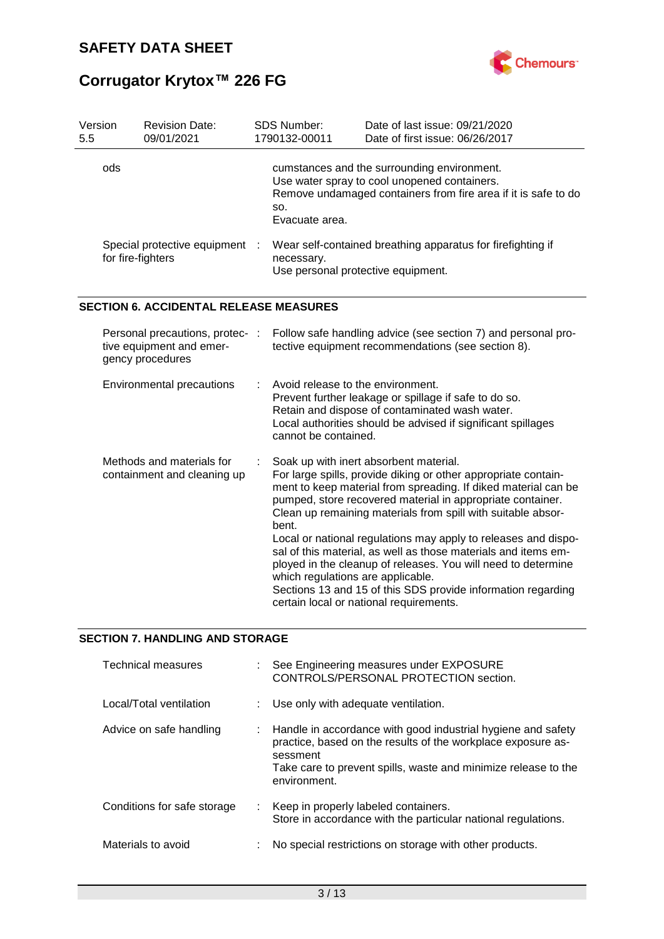

| Version<br>5.5 | <b>Revision Date:</b><br>09/01/2021                                             | SDS Number:<br>1790132-00011                              | Date of last issue: 09/21/2020<br>Date of first issue: 06/26/2017                                                                                                                                                                                                                                                                                                                                                                                                                                                                                                                                                        |
|----------------|---------------------------------------------------------------------------------|-----------------------------------------------------------|--------------------------------------------------------------------------------------------------------------------------------------------------------------------------------------------------------------------------------------------------------------------------------------------------------------------------------------------------------------------------------------------------------------------------------------------------------------------------------------------------------------------------------------------------------------------------------------------------------------------------|
| ods            |                                                                                 | SO.<br>Evacuate area.                                     | cumstances and the surrounding environment.<br>Use water spray to cool unopened containers.<br>Remove undamaged containers from fire area if it is safe to do                                                                                                                                                                                                                                                                                                                                                                                                                                                            |
|                | Special protective equipment<br>for fire-fighters                               | necessary.<br>Use personal protective equipment.          | Wear self-contained breathing apparatus for firefighting if                                                                                                                                                                                                                                                                                                                                                                                                                                                                                                                                                              |
|                | <b>SECTION 6. ACCIDENTAL RELEASE MEASURES</b>                                   |                                                           |                                                                                                                                                                                                                                                                                                                                                                                                                                                                                                                                                                                                                          |
|                | Personal precautions, protec- :<br>tive equipment and emer-<br>gency procedures |                                                           | Follow safe handling advice (see section 7) and personal pro-<br>tective equipment recommendations (see section 8).                                                                                                                                                                                                                                                                                                                                                                                                                                                                                                      |
|                | Environmental precautions                                                       | Avoid release to the environment.<br>cannot be contained. | Prevent further leakage or spillage if safe to do so.<br>Retain and dispose of contaminated wash water.<br>Local authorities should be advised if significant spillages                                                                                                                                                                                                                                                                                                                                                                                                                                                  |
|                | Methods and materials for<br>containment and cleaning up                        | bent.<br>which regulations are applicable.                | Soak up with inert absorbent material.<br>For large spills, provide diking or other appropriate contain-<br>ment to keep material from spreading. If diked material can be<br>pumped, store recovered material in appropriate container.<br>Clean up remaining materials from spill with suitable absor-<br>Local or national regulations may apply to releases and dispo-<br>sal of this material, as well as those materials and items em-<br>ployed in the cleanup of releases. You will need to determine<br>Sections 13 and 15 of this SDS provide information regarding<br>certain local or national requirements. |

### **SECTION 7. HANDLING AND STORAGE**

| Technical measures          | See Engineering measures under EXPOSURE<br>CONTROLS/PERSONAL PROTECTION section.                                                                                                                                             |
|-----------------------------|------------------------------------------------------------------------------------------------------------------------------------------------------------------------------------------------------------------------------|
| Local/Total ventilation     | : Use only with adequate ventilation.                                                                                                                                                                                        |
| Advice on safe handling     | : Handle in accordance with good industrial hygiene and safety<br>practice, based on the results of the workplace exposure as-<br>sessment<br>Take care to prevent spills, waste and minimize release to the<br>environment. |
| Conditions for safe storage | : Keep in properly labeled containers.<br>Store in accordance with the particular national regulations.                                                                                                                      |
| Materials to avoid          | No special restrictions on storage with other products.                                                                                                                                                                      |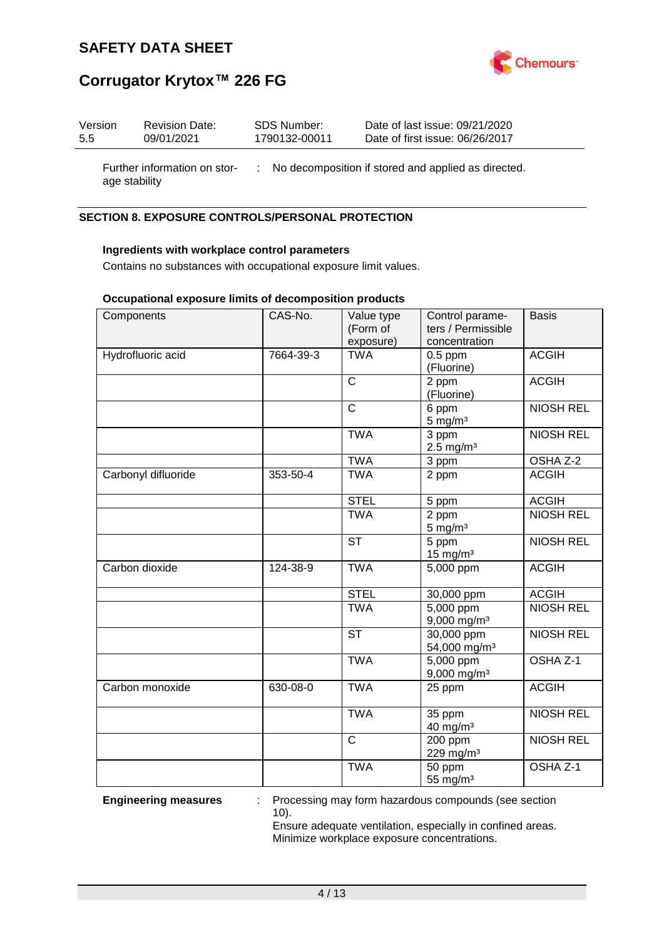



| Version | <b>Revision Date:</b> | SDS Number:   | Date of last issue: 09/21/2020  |
|---------|-----------------------|---------------|---------------------------------|
| 5.5     | 09/01/2021            | 1790132-00011 | Date of first issue: 06/26/2017 |
|         |                       |               |                                 |

Further information on stor-: No decomposition if stored and applied as directed. age stability

### **SECTION 8. EXPOSURE CONTROLS/PERSONAL PROTECTION**

### **Ingredients with workplace control parameters**

Contains no substances with occupational exposure limit values.

### **Occupational exposure limits of decomposition products**

| Components          | CAS-No.   | Value type<br>(Form of  | Control parame-<br>ters / Permissible    | <b>Basis</b>     |
|---------------------|-----------|-------------------------|------------------------------------------|------------------|
| Hydrofluoric acid   | 7664-39-3 | exposure)<br><b>TWA</b> | concentration<br>$0.5$ ppm<br>(Fluorine) | <b>ACGIH</b>     |
|                     |           | $\mathsf{C}$            | 2 ppm<br>(Fluorine)                      | <b>ACGIH</b>     |
|                     |           | $\mathsf{C}$            | 6 ppm<br>$5$ mg/m $3$                    | <b>NIOSH REL</b> |
|                     |           | <b>TWA</b>              | 3 ppm<br>$2.5 \text{ mg/m}^3$            | <b>NIOSH REL</b> |
|                     |           | <b>TWA</b>              | 3 ppm                                    | OSHA Z-2         |
| Carbonyl difluoride | 353-50-4  | <b>TWA</b>              | 2 ppm                                    | <b>ACGIH</b>     |
|                     |           | <b>STEL</b>             | 5 ppm                                    | <b>ACGIH</b>     |
|                     |           | <b>TWA</b>              | 2 ppm<br>$5 \text{ mg/m}^3$              | <b>NIOSH REL</b> |
|                     |           | <b>ST</b>               | 5 ppm<br>$15$ mg/m <sup>3</sup>          | <b>NIOSH REL</b> |
| Carbon dioxide      | 124-38-9  | <b>TWA</b>              | 5,000 ppm                                | <b>ACGIH</b>     |
|                     |           | <b>STEL</b>             | 30,000 ppm                               | <b>ACGIH</b>     |
|                     |           | <b>TWA</b>              | $5,000$ ppm<br>$9,000$ mg/m <sup>3</sup> | <b>NIOSH REL</b> |
|                     |           | <b>ST</b>               | 30,000 ppm<br>54,000 mg/m <sup>3</sup>   | <b>NIOSH REL</b> |
|                     |           | <b>TWA</b>              | 5,000 ppm<br>$9,000$ mg/m <sup>3</sup>   | OSHA Z-1         |
| Carbon monoxide     | 630-08-0  | <b>TWA</b>              | 25 ppm                                   | <b>ACGIH</b>     |
|                     |           | <b>TWA</b>              | 35 ppm<br>40 mg/m <sup>3</sup>           | <b>NIOSH REL</b> |
|                     |           | $\mathsf{C}$            | 200 ppm<br>229 mg/m <sup>3</sup>         | <b>NIOSH REL</b> |
|                     |           | <b>TWA</b>              | 50 ppm<br>55 mg/m <sup>3</sup>           | OSHA Z-1         |

**Engineering measures** : Processing may form hazardous compounds (see section 10).

> Ensure adequate ventilation, especially in confined areas. Minimize workplace exposure concentrations.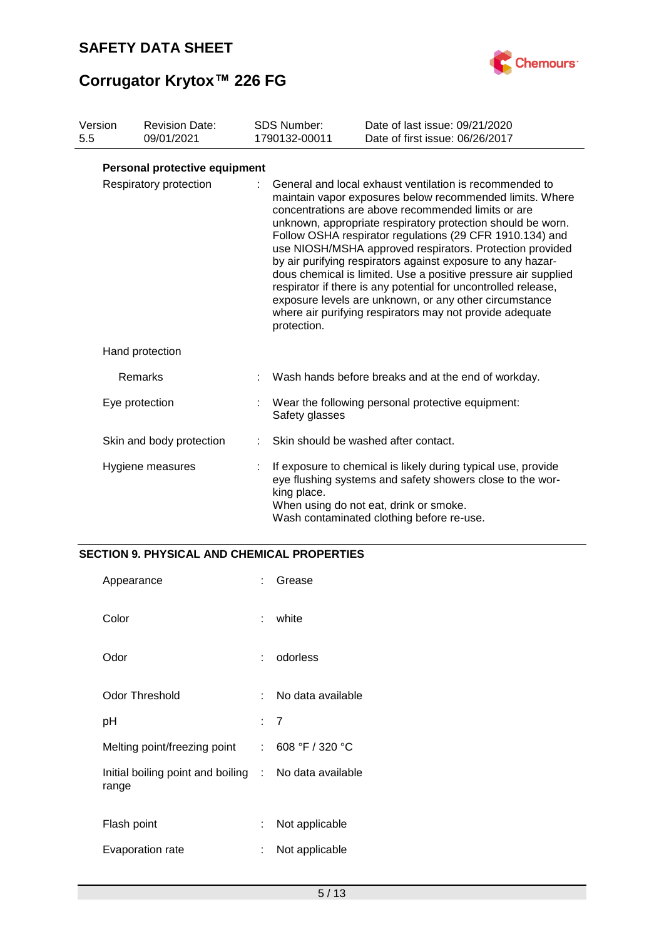

# **Corrugator Krytox™ 226 FG**

| Version<br>5.5 | <b>Revision Date:</b><br>09/01/2021 | <b>SDS Number:</b><br>1790132-00011 | Date of last issue: 09/21/2020<br>Date of first issue: 06/26/2017                                                                                                                                                                                                                                                                                                                                                                                                                                                                                                                                                                                                                         |
|----------------|-------------------------------------|-------------------------------------|-------------------------------------------------------------------------------------------------------------------------------------------------------------------------------------------------------------------------------------------------------------------------------------------------------------------------------------------------------------------------------------------------------------------------------------------------------------------------------------------------------------------------------------------------------------------------------------------------------------------------------------------------------------------------------------------|
|                | Personal protective equipment       |                                     |                                                                                                                                                                                                                                                                                                                                                                                                                                                                                                                                                                                                                                                                                           |
|                | Respiratory protection              | protection.                         | General and local exhaust ventilation is recommended to<br>maintain vapor exposures below recommended limits. Where<br>concentrations are above recommended limits or are<br>unknown, appropriate respiratory protection should be worn.<br>Follow OSHA respirator regulations (29 CFR 1910.134) and<br>use NIOSH/MSHA approved respirators. Protection provided<br>by air purifying respirators against exposure to any hazar-<br>dous chemical is limited. Use a positive pressure air supplied<br>respirator if there is any potential for uncontrolled release,<br>exposure levels are unknown, or any other circumstance<br>where air purifying respirators may not provide adequate |
|                | Hand protection                     |                                     |                                                                                                                                                                                                                                                                                                                                                                                                                                                                                                                                                                                                                                                                                           |
|                | <b>Remarks</b>                      |                                     | Wash hands before breaks and at the end of workday.                                                                                                                                                                                                                                                                                                                                                                                                                                                                                                                                                                                                                                       |
|                | Eye protection                      | Safety glasses                      | : Wear the following personal protective equipment:                                                                                                                                                                                                                                                                                                                                                                                                                                                                                                                                                                                                                                       |
|                | Skin and body protection            |                                     | Skin should be washed after contact.                                                                                                                                                                                                                                                                                                                                                                                                                                                                                                                                                                                                                                                      |
|                | Hygiene measures                    | king place.                         | If exposure to chemical is likely during typical use, provide<br>eye flushing systems and safety showers close to the wor-<br>When using do not eat, drink or smoke.<br>Wash contaminated clothing before re-use.                                                                                                                                                                                                                                                                                                                                                                                                                                                                         |

### **SECTION 9. PHYSICAL AND CHEMICAL PROPERTIES**

| Appearance                                                     | ٠.  | Grease            |
|----------------------------------------------------------------|-----|-------------------|
| Color                                                          | t.  | white             |
| Odor                                                           | t.  | odorless          |
| <b>Odor Threshold</b>                                          | × 1 | No data available |
| рH                                                             |     | : 7               |
| Melting point/freezing point                                   |     | : 608 °F / 320 °C |
| Initial boiling point and boiling : No data available<br>range |     |                   |
| Flash point                                                    | t.  | Not applicable    |
| Evaporation rate                                               | ÷   | Not applicable    |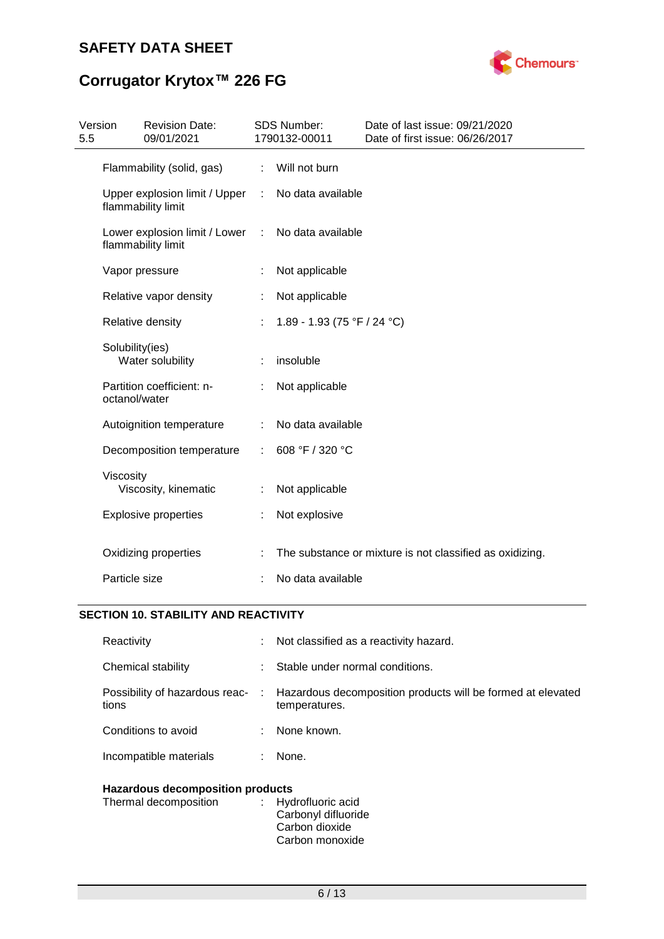

# **Corrugator Krytox™ 226 FG**

| Version<br>5.5 |                 | <b>Revision Date:</b><br>09/01/2021                 |    | SDS Number:<br>1790132-00011 | Date of last issue: 09/21/2020<br>Date of first issue: 06/26/2017 |
|----------------|-----------------|-----------------------------------------------------|----|------------------------------|-------------------------------------------------------------------|
|                |                 | Flammability (solid, gas)                           | ÷  | Will not burn                |                                                                   |
|                |                 | Upper explosion limit / Upper<br>flammability limit | ÷  | No data available            |                                                                   |
|                |                 | Lower explosion limit / Lower<br>flammability limit | ÷  | No data available            |                                                                   |
|                |                 | Vapor pressure                                      |    | Not applicable               |                                                                   |
|                |                 | Relative vapor density                              | ÷  | Not applicable               |                                                                   |
|                |                 | Relative density                                    |    | 1.89 - 1.93 (75 °F / 24 °C)  |                                                                   |
|                | Solubility(ies) | Water solubility                                    | ÷  | insoluble                    |                                                                   |
|                | octanol/water   | Partition coefficient: n-                           |    | Not applicable               |                                                                   |
|                |                 | Autoignition temperature                            | ÷  | No data available            |                                                                   |
|                |                 | Decomposition temperature                           | ÷. | 608 °F / 320 °C              |                                                                   |
|                | Viscosity       | Viscosity, kinematic                                |    | Not applicable               |                                                                   |
|                |                 | <b>Explosive properties</b>                         |    | Not explosive                |                                                                   |
|                |                 | Oxidizing properties                                |    |                              | The substance or mixture is not classified as oxidizing.          |
|                | Particle size   |                                                     |    | No data available            |                                                                   |

### **SECTION 10. STABILITY AND REACTIVITY**

| Reactivity                              | ÷  | Not classified as a reactivity hazard.                                       |  |  |
|-----------------------------------------|----|------------------------------------------------------------------------------|--|--|
| Chemical stability                      | t. | Stable under normal conditions.                                              |  |  |
| Possibility of hazardous reac-<br>tions | ÷  | Hazardous decomposition products will be formed at elevated<br>temperatures. |  |  |
| Conditions to avoid                     |    | None known.                                                                  |  |  |
| Incompatible materials                  | ÷  | None.                                                                        |  |  |
| <b>Hazardous decomposition products</b> |    |                                                                              |  |  |

| : Hydrofluoric acid |
|---------------------|
| Carbonyl difluoride |
| Carbon dioxide      |
| Carbon monoxide     |
|                     |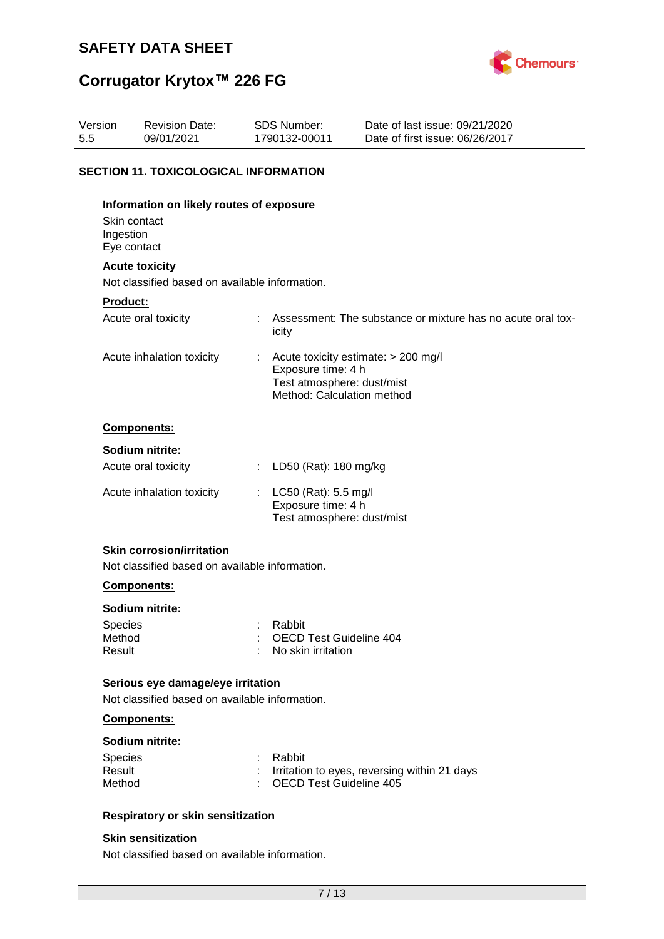

# **Corrugator Krytox™ 226 FG**

| Version<br>5.5 | <b>Revision Date:</b><br>09/01/2021                                                               | SDS Number:<br>1790132-00011                                                   | Date of last issue: 09/21/2020<br>Date of first issue: 06/26/2017 |
|----------------|---------------------------------------------------------------------------------------------------|--------------------------------------------------------------------------------|-------------------------------------------------------------------|
|                | <b>SECTION 11. TOXICOLOGICAL INFORMATION</b>                                                      |                                                                                |                                                                   |
| Ingestion      | Information on likely routes of exposure<br>Skin contact<br>Eye contact                           |                                                                                |                                                                   |
|                | <b>Acute toxicity</b>                                                                             |                                                                                |                                                                   |
|                | Not classified based on available information.                                                    |                                                                                |                                                                   |
| Product:       | Acute oral toxicity                                                                               | icity                                                                          | Assessment: The substance or mixture has no acute oral tox-       |
|                | Acute inhalation toxicity                                                                         | Exposure time: 4 h<br>Test atmosphere: dust/mist<br>Method: Calculation method | Acute toxicity estimate: > 200 mg/l                               |
|                | Components:                                                                                       |                                                                                |                                                                   |
|                | Sodium nitrite:                                                                                   |                                                                                |                                                                   |
|                | Acute oral toxicity                                                                               | LD50 (Rat): 180 mg/kg                                                          |                                                                   |
|                | Acute inhalation toxicity                                                                         | LC50 (Rat): 5.5 mg/l<br>Exposure time: 4 h<br>Test atmosphere: dust/mist       |                                                                   |
|                | <b>Skin corrosion/irritation</b><br>Not classified based on available information.<br>Components: |                                                                                |                                                                   |

### **Sodium nitrite:**

| Species | : Rabbit                  |
|---------|---------------------------|
| Method  | : OECD Test Guideline 404 |
| Result  | : No skin irritation      |

### **Serious eye damage/eye irritation**

Not classified based on available information.

### **Components:**

### **Sodium nitrite:**

| <b>Species</b> | : Rabbit                                       |
|----------------|------------------------------------------------|
| Result         | : Irritation to eyes, reversing within 21 days |
| Method         | : OECD Test Guideline 405                      |

### **Respiratory or skin sensitization**

### **Skin sensitization**

Not classified based on available information.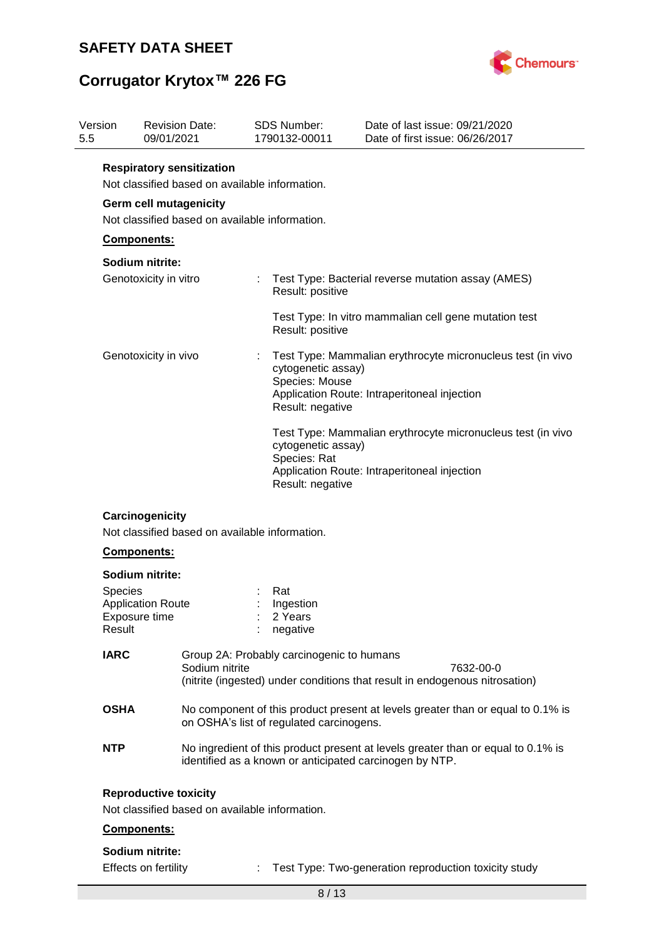

# **Corrugator Krytox™ 226 FG**

| Version<br>5.5 |                                                                                    | 09/01/2021                                | <b>Revision Date:</b>                          |                                                                                          | <b>SDS Number:</b><br>1790132-00011                                                                         | Date of last issue: 09/21/2020<br>Date of first issue: 06/26/2017                                                                           |  |  |  |
|----------------|------------------------------------------------------------------------------------|-------------------------------------------|------------------------------------------------|------------------------------------------------------------------------------------------|-------------------------------------------------------------------------------------------------------------|---------------------------------------------------------------------------------------------------------------------------------------------|--|--|--|
|                | <b>Respiratory sensitization</b><br>Not classified based on available information. |                                           |                                                |                                                                                          |                                                                                                             |                                                                                                                                             |  |  |  |
|                | <b>Germ cell mutagenicity</b><br>Not classified based on available information.    |                                           |                                                |                                                                                          |                                                                                                             |                                                                                                                                             |  |  |  |
|                |                                                                                    | Components:                               |                                                |                                                                                          |                                                                                                             |                                                                                                                                             |  |  |  |
|                |                                                                                    | Sodium nitrite:                           |                                                |                                                                                          |                                                                                                             |                                                                                                                                             |  |  |  |
|                |                                                                                    | Genotoxicity in vitro                     |                                                |                                                                                          | Result: positive                                                                                            | Test Type: Bacterial reverse mutation assay (AMES)                                                                                          |  |  |  |
|                |                                                                                    |                                           |                                                |                                                                                          | Result: positive                                                                                            | Test Type: In vitro mammalian cell gene mutation test                                                                                       |  |  |  |
|                | Genotoxicity in vivo                                                               |                                           |                                                | cytogenetic assay)<br>Species: Mouse<br>Result: negative                                 | Test Type: Mammalian erythrocyte micronucleus test (in vivo<br>Application Route: Intraperitoneal injection |                                                                                                                                             |  |  |  |
|                |                                                                                    |                                           |                                                |                                                                                          | cytogenetic assay)<br>Species: Rat<br>Result: negative                                                      | Test Type: Mammalian erythrocyte micronucleus test (in vivo<br>Application Route: Intraperitoneal injection                                 |  |  |  |
|                |                                                                                    | Carcinogenicity                           | Not classified based on available information. |                                                                                          |                                                                                                             |                                                                                                                                             |  |  |  |
|                |                                                                                    | Components:                               |                                                |                                                                                          |                                                                                                             |                                                                                                                                             |  |  |  |
|                |                                                                                    | Sodium nitrite:                           |                                                |                                                                                          |                                                                                                             |                                                                                                                                             |  |  |  |
|                | <b>Species</b><br>Result                                                           | <b>Application Route</b><br>Exposure time |                                                |                                                                                          | Rat<br>Ingestion<br>2 Years<br>negative                                                                     |                                                                                                                                             |  |  |  |
|                | <b>IARC</b><br>Sodium nitrite                                                      |                                           | Group 2A: Probably carcinogenic to humans      | 7632-00-0<br>(nitrite (ingested) under conditions that result in endogenous nitrosation) |                                                                                                             |                                                                                                                                             |  |  |  |
|                | <b>OSHA</b>                                                                        |                                           |                                                |                                                                                          | on OSHA's list of regulated carcinogens.                                                                    | No component of this product present at levels greater than or equal to 0.1% is                                                             |  |  |  |
|                | <b>NTP</b>                                                                         |                                           |                                                |                                                                                          |                                                                                                             | No ingredient of this product present at levels greater than or equal to 0.1% is<br>identified as a known or anticipated carcinogen by NTP. |  |  |  |
|                |                                                                                    | <b>Reproductive toxicity</b>              | Not classified based on available information. |                                                                                          |                                                                                                             |                                                                                                                                             |  |  |  |
|                |                                                                                    | Components:                               |                                                |                                                                                          |                                                                                                             |                                                                                                                                             |  |  |  |
|                |                                                                                    | Sodium nitrite:                           |                                                |                                                                                          |                                                                                                             |                                                                                                                                             |  |  |  |
|                |                                                                                    | Effects on fertility                      |                                                |                                                                                          |                                                                                                             | Test Type: Two-generation reproduction toxicity study                                                                                       |  |  |  |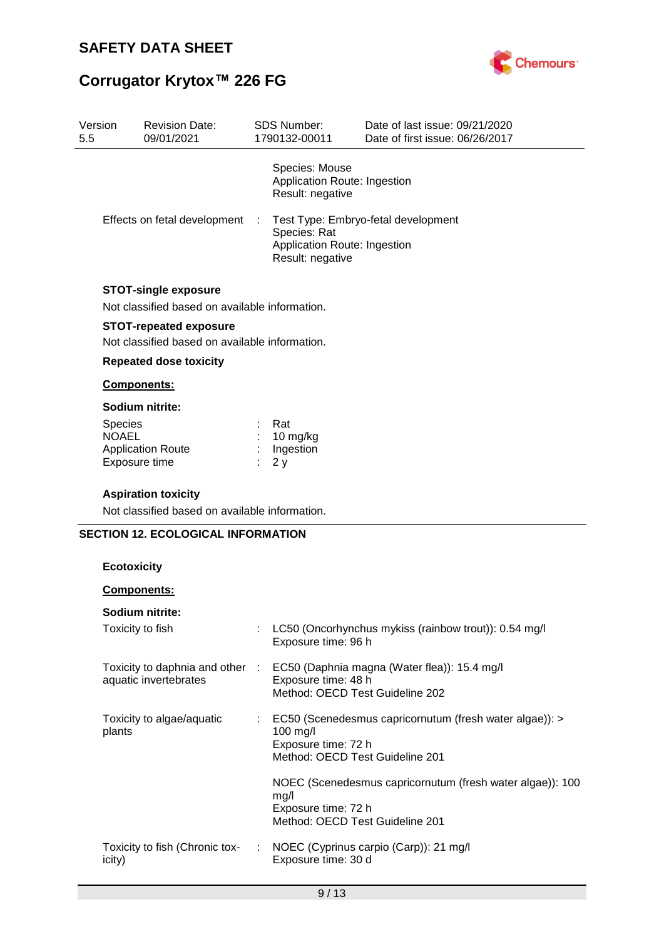Version



Date of last issue: 09/21/2020

# **Corrugator Krytox™ 226 FG**

Revision Date:

| 5.5 | 09/01/2021                                                                    | 1790132-00011                                                      | Date of first issue: 06/26/2017                           |
|-----|-------------------------------------------------------------------------------|--------------------------------------------------------------------|-----------------------------------------------------------|
|     |                                                                               | Species: Mouse<br>Application Route: Ingestion<br>Result: negative |                                                           |
|     | Effects on fetal development                                                  | Species: Rat<br>Application Route: Ingestion<br>Result: negative   | Test Type: Embryo-fetal development                       |
|     | <b>STOT-single exposure</b><br>Not classified based on available information. |                                                                    |                                                           |
|     | <b>STOT-repeated exposure</b>                                                 |                                                                    |                                                           |
|     | Not classified based on available information.                                |                                                                    |                                                           |
|     | <b>Repeated dose toxicity</b>                                                 |                                                                    |                                                           |
|     | Components:                                                                   |                                                                    |                                                           |
|     | Sodium nitrite:                                                               |                                                                    |                                                           |
|     | <b>Species</b>                                                                | Rat                                                                |                                                           |
|     | <b>NOAEL</b><br><b>Application Route</b>                                      | 10 mg/kg<br>Ingestion                                              |                                                           |
|     | Exposure time                                                                 | 2y                                                                 |                                                           |
|     | <b>Aspiration toxicity</b><br>Not classified based on available information.  |                                                                    |                                                           |
|     | <b>SECTION 12. ECOLOGICAL INFORMATION</b><br><b>Ecotoxicity</b>               |                                                                    |                                                           |
|     | Components:                                                                   |                                                                    |                                                           |
|     | Sodium nitrite:                                                               |                                                                    |                                                           |
|     | Toxicity to fish                                                              | Exposure time: 96 h                                                | LC50 (Oncorhynchus mykiss (rainbow trout)): 0.54 mg/l     |
|     | Toxicity to daphnia and other :                                               |                                                                    | EC50 (Daphnia magna (Water flea)): 15.4 mg/l              |
|     | aquatic invertebrates                                                         | Exposure time: 48 h<br>Method: OECD Test Guideline 202             |                                                           |
|     | Toxicity to algae/aquatic<br>plants                                           | 100 mg/l<br>Exposure time: 72 h<br>Method: OECD Test Guideline 201 | EC50 (Scenedesmus capricornutum (fresh water algae)): >   |
|     |                                                                               | mg/l<br>Exposure time: 72 h<br>Method: OECD Test Guideline 201     | NOEC (Scenedesmus capricornutum (fresh water algae)): 100 |

SDS Number: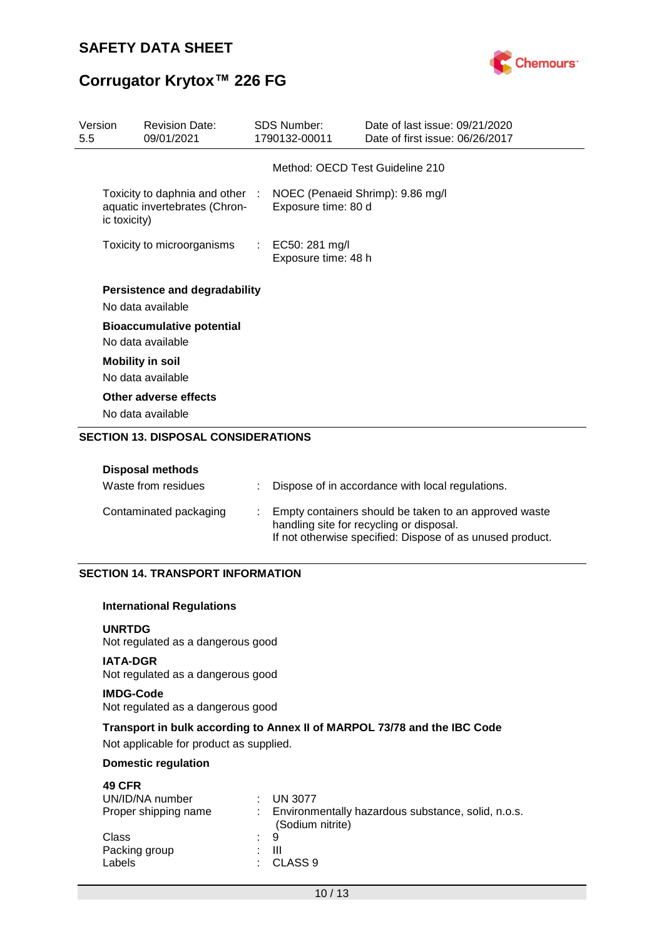

| Version<br>5.5             | <b>Revision Date:</b><br>09/01/2021                              |                                         | <b>SDS Number:</b><br>1790132-00011                     | Date of last issue: 09/21/2020<br>Date of first issue: 06/26/2017 |
|----------------------------|------------------------------------------------------------------|-----------------------------------------|---------------------------------------------------------|-------------------------------------------------------------------|
|                            |                                                                  |                                         | Method: OECD Test Guideline 210                         |                                                                   |
| ic toxicity)               | Toxicity to daphnia and other :<br>aquatic invertebrates (Chron- |                                         | NOEC (Penaeid Shrimp): 9.86 mg/l<br>Exposure time: 80 d |                                                                   |
| Toxicity to microorganisms |                                                                  | : EC50: 281 mg/l<br>Exposure time: 48 h |                                                         |                                                                   |
|                            | <b>Persistence and degradability</b><br>No data available        |                                         |                                                         |                                                                   |
|                            | <b>Bioaccumulative potential</b><br>No data available            |                                         |                                                         |                                                                   |
|                            | <b>Mobility in soil</b><br>No data available                     |                                         |                                                         |                                                                   |
|                            | Other adverse effects<br>No data available                       |                                         |                                                         |                                                                   |

### **SECTION 13. DISPOSAL CONSIDERATIONS**

### **Disposal methods**

| Waste from residues    | Dispose of in accordance with local regulations.                                                                                                               |
|------------------------|----------------------------------------------------------------------------------------------------------------------------------------------------------------|
| Contaminated packaging | Empty containers should be taken to an approved waste<br>handling site for recycling or disposal.<br>If not otherwise specified: Dispose of as unused product. |

### **SECTION 14. TRANSPORT INFORMATION**

### **International Regulations**

### **UNRTDG**

Not regulated as a dangerous good

### **IATA-DGR** Not regulated as a dangerous good

### **IMDG-Code**

Not regulated as a dangerous good

### **Transport in bulk according to Annex II of MARPOL 73/78 and the IBC Code**

Not applicable for product as supplied.

### **Domestic regulation**

| <b>49 CFR</b>        |                                                                        |
|----------------------|------------------------------------------------------------------------|
| UN/ID/NA number      | <b>UN 3077</b>                                                         |
| Proper shipping name | Environmentally hazardous substance, solid, n.o.s.<br>(Sodium nitrite) |
| Class                | : 9                                                                    |
| Packing group        | Ш<br>٠.                                                                |
| Labels               | CLASS <sub>9</sub><br>. .                                              |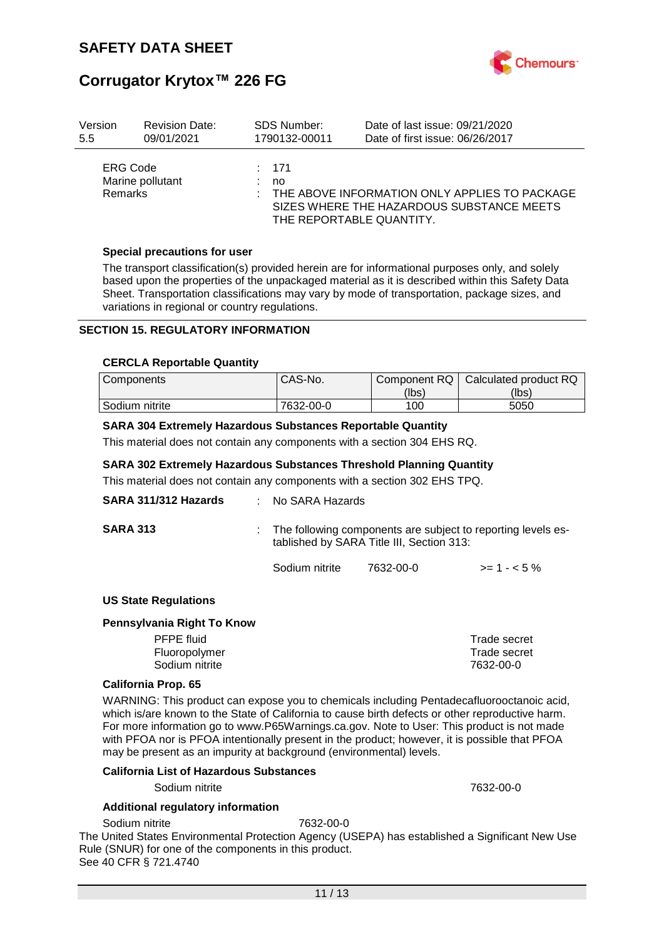

| Version                    | <b>Revision Date:</b> | <b>SDS Number:</b> | Date of last issue: 09/21/2020                                                                                         |
|----------------------------|-----------------------|--------------------|------------------------------------------------------------------------------------------------------------------------|
| 5.5                        | 09/01/2021            | 1790132-00011      | Date of first issue: 06/26/2017                                                                                        |
| ERG Code<br><b>Remarks</b> | Marine pollutant      | : 171<br>no        | THE ABOVE INFORMATION ONLY APPLIES TO PACKAGE<br>SIZES WHERE THE HAZARDOUS SUBSTANCE MEETS<br>THE REPORTABLE QUANTITY. |

### **Special precautions for user**

The transport classification(s) provided herein are for informational purposes only, and solely based upon the properties of the unpackaged material as it is described within this Safety Data Sheet. Transportation classifications may vary by mode of transportation, package sizes, and variations in regional or country regulations.

### **SECTION 15. REGULATORY INFORMATION**

#### **CERCLA Reportable Quantity**

| <b>Components</b> | CAS-No.   | Component RQ | Calculated product RQ |
|-------------------|-----------|--------------|-----------------------|
|                   |           | (lbs)        | (lbs)                 |
| Sodium nitrite    | 7632-00-0 | 100          | 5050                  |

### **SARA 304 Extremely Hazardous Substances Reportable Quantity**

This material does not contain any components with a section 304 EHS RQ.

### **SARA 302 Extremely Hazardous Substances Threshold Planning Quantity**

This material does not contain any components with a section 302 EHS TPQ.

| SARA 311/312 Hazards        | $:$ No SARA Hazards |                                                                                                           |              |  |  |
|-----------------------------|---------------------|-----------------------------------------------------------------------------------------------------------|--------------|--|--|
| <b>SARA 313</b>             |                     | The following components are subject to reporting levels es-<br>tablished by SARA Title III, Section 313: |              |  |  |
|                             | Sodium nitrite      | 7632-00-0                                                                                                 | $>= 1 - 5\%$ |  |  |
| <b>US State Regulations</b> |                     |                                                                                                           |              |  |  |
| Pennsylvania Right To Know  |                     |                                                                                                           |              |  |  |
| <b>PFPE</b> fluid           |                     |                                                                                                           | Trade secret |  |  |
| Fluoropolymer               |                     |                                                                                                           | Trade secret |  |  |

### **California Prop. 65**

WARNING: This product can expose you to chemicals including Pentadecafluorooctanoic acid, which is/are known to the State of California to cause birth defects or other reproductive harm. For more information go to www.P65Warnings.ca.gov. Note to User: This product is not made with PFOA nor is PFOA intentionally present in the product; however, it is possible that PFOA may be present as an impurity at background (environmental) levels.

Sodium nitrite 7632-00-0

#### **California List of Hazardous Substances**

Sodium nitrite 7632-00-0

#### **Additional regulatory information**

Sodium nitrite 7632-00-0

The United States Environmental Protection Agency (USEPA) has established a Significant New Use Rule (SNUR) for one of the components in this product. See 40 CFR § 721.4740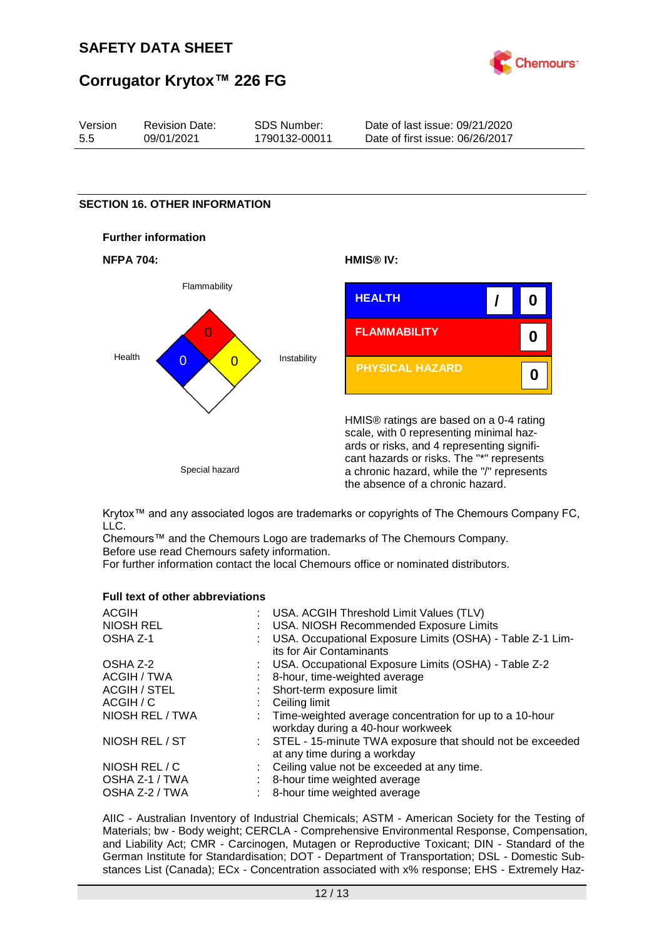

| Version | <b>Revision Date:</b> | SDS Number:   | Date of last issue: 09/21/2020  |
|---------|-----------------------|---------------|---------------------------------|
| 5.5     | 09/01/2021            | 1790132-00011 | Date of first issue: 06/26/2017 |

### **SECTION 16. OTHER INFORMATION**









HMIS® ratings are based on a 0-4 rating scale, with 0 representing minimal hazards or risks, and 4 representing significant hazards or risks. The "\*" represents a chronic hazard, while the "/" represents the absence of a chronic hazard.

Krytox™ and any associated logos are trademarks or copyrights of The Chemours Company FC, LLC.

Chemours™ and the Chemours Logo are trademarks of The Chemours Company. Before use read Chemours safety information.

For further information contact the local Chemours office or nominated distributors.

### **Full text of other abbreviations**

| : USA. ACGIH Threshold Limit Values (TLV)                                                      |
|------------------------------------------------------------------------------------------------|
| : USA. NIOSH Recommended Exposure Limits                                                       |
| : USA. Occupational Exposure Limits (OSHA) - Table Z-1 Lim-<br>its for Air Contaminants        |
| : USA. Occupational Exposure Limits (OSHA) - Table Z-2                                         |
| 8-hour, time-weighted average                                                                  |
| : Short-term exposure limit                                                                    |
| : Ceiling limit                                                                                |
| : Time-weighted average concentration for up to a 10-hour<br>workday during a 40-hour workweek |
| : STEL - 15-minute TWA exposure that should not be exceeded<br>at any time during a workday    |
| : Ceiling value not be exceeded at any time.                                                   |
| : 8-hour time weighted average                                                                 |
| 8-hour time weighted average                                                                   |
|                                                                                                |

AIIC - Australian Inventory of Industrial Chemicals; ASTM - American Society for the Testing of Materials; bw - Body weight; CERCLA - Comprehensive Environmental Response, Compensation, and Liability Act; CMR - Carcinogen, Mutagen or Reproductive Toxicant; DIN - Standard of the German Institute for Standardisation; DOT - Department of Transportation; DSL - Domestic Substances List (Canada); ECx - Concentration associated with x% response; EHS - Extremely Haz-